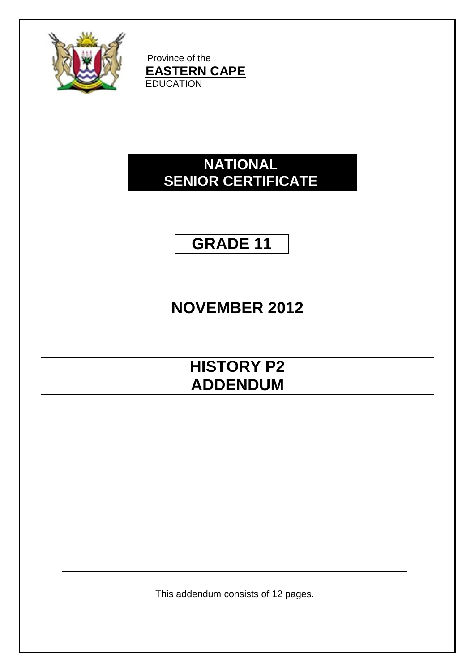

Province of the **EASTERN CAPE EDUCATION** 

## **NATIONAL SENIOR CERTIFICATE**

## **GRADE 11**

# **NOVEMBER 2012**

## **HISTORY P2 ADDENDUM**

This addendum consists of 12 pages.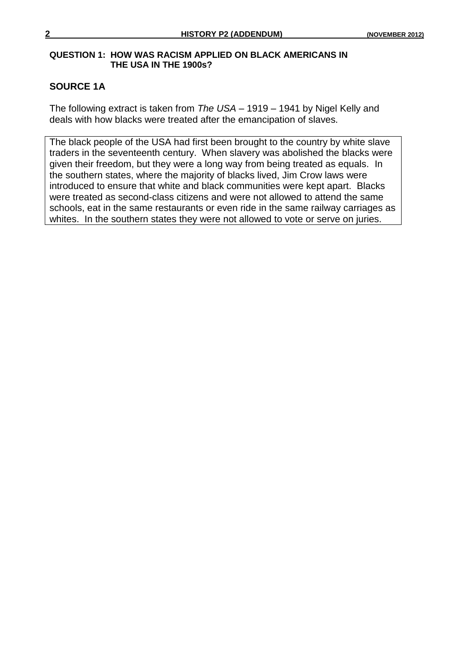#### **QUESTION 1: HOW WAS RACISM APPLIED ON BLACK AMERICANS IN THE USA IN THE 1900s?**

### **SOURCE 1A**

The following extract is taken from *The USA* – 1919 – 1941 by Nigel Kelly and deals with how blacks were treated after the emancipation of slaves.

The black people of the USA had first been brought to the country by white slave traders in the seventeenth century. When slavery was abolished the blacks were given their freedom, but they were a long way from being treated as equals. In the southern states, where the majority of blacks lived, Jim Crow laws were introduced to ensure that white and black communities were kept apart. Blacks were treated as second-class citizens and were not allowed to attend the same schools, eat in the same restaurants or even ride in the same railway carriages as whites. In the southern states they were not allowed to vote or serve on juries.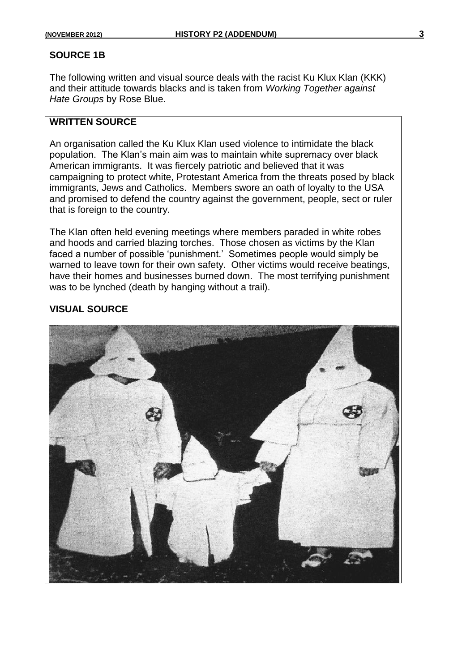#### **SOURCE 1B**

The following written and visual source deals with the racist Ku Klux Klan (KKK) and their attitude towards blacks and is taken from *Working Together against Hate Groups* by Rose Blue.

#### **WRITTEN SOURCE**

An organisation called the Ku Klux Klan used violence to intimidate the black population. The Klan"s main aim was to maintain white supremacy over black American immigrants. It was fiercely patriotic and believed that it was campaigning to protect white, Protestant America from the threats posed by black immigrants, Jews and Catholics. Members swore an oath of loyalty to the USA and promised to defend the country against the government, people, sect or ruler that is foreign to the country.

The Klan often held evening meetings where members paraded in white robes and hoods and carried blazing torches. Those chosen as victims by the Klan faced a number of possible "punishment." Sometimes people would simply be warned to leave town for their own safety. Other victims would receive beatings, have their homes and businesses burned down. The most terrifying punishment was to be lynched (death by hanging without a trail).

#### **VISUAL SOURCE**

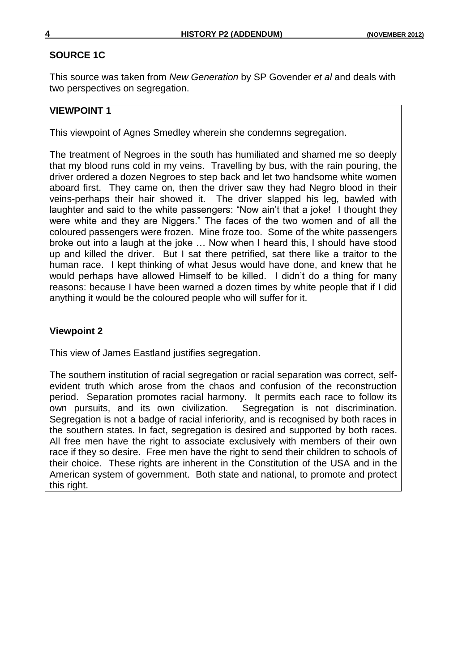### **SOURCE 1C**

This source was taken from *New Generation* by SP Govender *et al* and deals with two perspectives on segregation.

### **VIEWPOINT 1**

This viewpoint of Agnes Smedley wherein she condemns segregation.

The treatment of Negroes in the south has humiliated and shamed me so deeply that my blood runs cold in my veins. Travelling by bus, with the rain pouring, the driver ordered a dozen Negroes to step back and let two handsome white women aboard first. They came on, then the driver saw they had Negro blood in their veins-perhaps their hair showed it. The driver slapped his leg, bawled with laughter and said to the white passengers: "Now ain"t that a joke! I thought they were white and they are Niggers." The faces of the two women and of all the coloured passengers were frozen. Mine froze too. Some of the white passengers broke out into a laugh at the joke … Now when I heard this, I should have stood up and killed the driver. But I sat there petrified, sat there like a traitor to the human race. I kept thinking of what Jesus would have done, and knew that he would perhaps have allowed Himself to be killed. I didn"t do a thing for many reasons: because I have been warned a dozen times by white people that if I did anything it would be the coloured people who will suffer for it.

### **Viewpoint 2**

This view of James Eastland justifies segregation.

The southern institution of racial segregation or racial separation was correct, selfevident truth which arose from the chaos and confusion of the reconstruction period. Separation promotes racial harmony. It permits each race to follow its own pursuits, and its own civilization. Segregation is not discrimination. Segregation is not a badge of racial inferiority, and is recognised by both races in the southern states. In fact, segregation is desired and supported by both races. All free men have the right to associate exclusively with members of their own race if they so desire. Free men have the right to send their children to schools of their choice. These rights are inherent in the Constitution of the USA and in the American system of government. Both state and national, to promote and protect this right.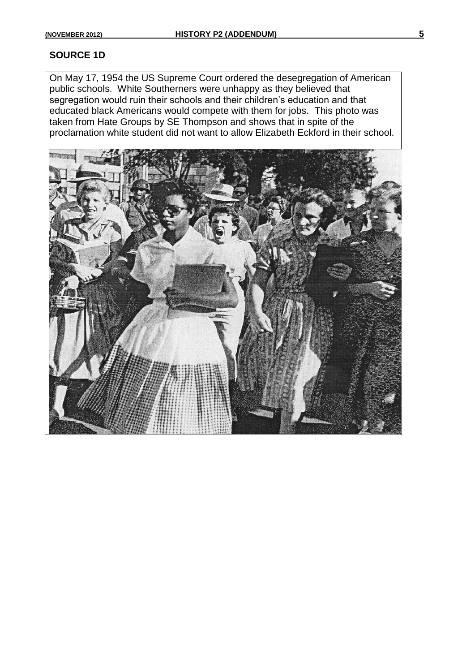#### **SOURCE 1D**

On May 17, 1954 the US Supreme Court ordered the desegregation of American public schools. White Southerners were unhappy as they believed that segregation would ruin their schools and their children"s education and that educated black Americans would compete with them for jobs. This photo was taken from Hate Groups by SE Thompson and shows that in spite of the proclamation white student did not want to allow Elizabeth Eckford in their school.

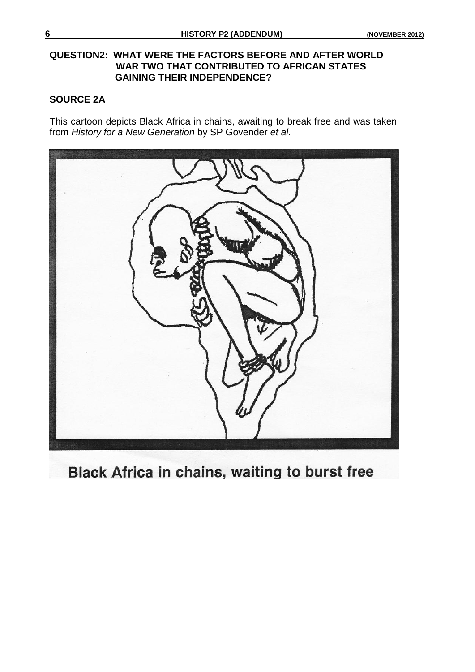#### **QUESTION2: WHAT WERE THE FACTORS BEFORE AND AFTER WORLD WAR TWO THAT CONTRIBUTED TO AFRICAN STATES GAINING THEIR INDEPENDENCE?**

#### **SOURCE 2A**

This cartoon depicts Black Africa in chains, awaiting to break free and was taken from *History for a New Generation* by SP Govender *et al*.



**Black Africa in chains, waiting to burst free**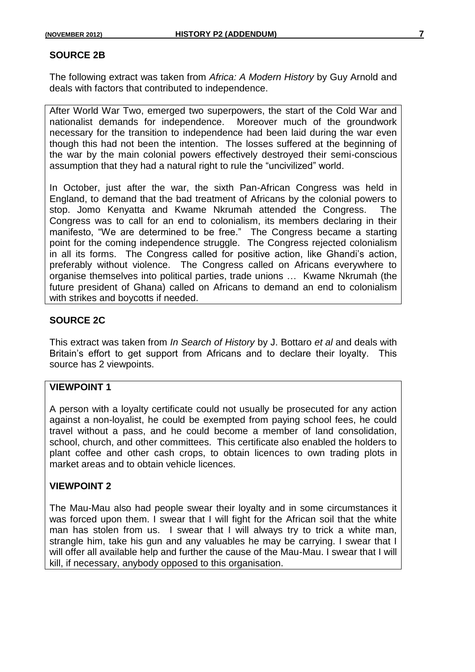#### **SOURCE 2B**

The following extract was taken from *Africa: A Modern History* by Guy Arnold and deals with factors that contributed to independence.

After World War Two, emerged two superpowers, the start of the Cold War and nationalist demands for independence. Moreover much of the groundwork necessary for the transition to independence had been laid during the war even though this had not been the intention. The losses suffered at the beginning of the war by the main colonial powers effectively destroyed their semi-conscious assumption that they had a natural right to rule the "uncivilized" world.

In October, just after the war, the sixth Pan-African Congress was held in England, to demand that the bad treatment of Africans by the colonial powers to stop. Jomo Kenyatta and Kwame Nkrumah attended the Congress. The Congress was to call for an end to colonialism, its members declaring in their manifesto, "We are determined to be free." The Congress became a starting point for the coming independence struggle. The Congress rejected colonialism in all its forms. The Congress called for positive action, like Ghandi"s action, preferably without violence. The Congress called on Africans everywhere to organise themselves into political parties, trade unions … Kwame Nkrumah (the future president of Ghana) called on Africans to demand an end to colonialism with strikes and boycotts if needed.

#### **SOURCE 2C**

This extract was taken from *In Search of History* by J. Bottaro *et al* and deals with Britain's effort to get support from Africans and to declare their loyalty. This source has 2 viewpoints.

#### **VIEWPOINT 1**

A person with a loyalty certificate could not usually be prosecuted for any action against a non-loyalist, he could be exempted from paying school fees, he could travel without a pass, and he could become a member of land consolidation, school, church, and other committees. This certificate also enabled the holders to plant coffee and other cash crops, to obtain licences to own trading plots in market areas and to obtain vehicle licences.

#### **VIEWPOINT 2**

The Mau-Mau also had people swear their loyalty and in some circumstances it was forced upon them. I swear that I will fight for the African soil that the white man has stolen from us. I swear that I will always try to trick a white man, strangle him, take his gun and any valuables he may be carrying. I swear that I will offer all available help and further the cause of the Mau-Mau. I swear that I will kill, if necessary, anybody opposed to this organisation.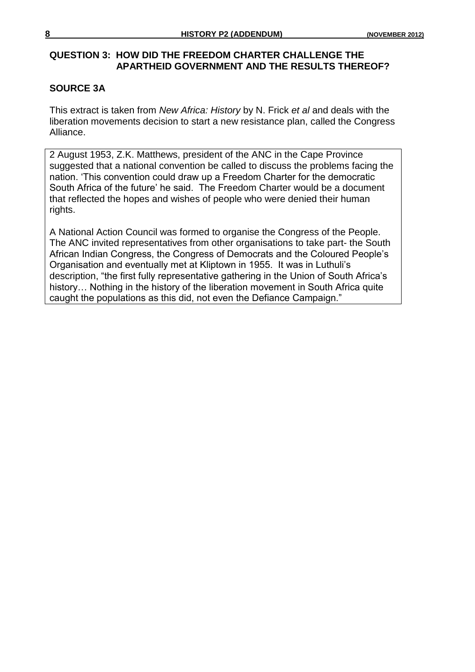#### **QUESTION 3: HOW DID THE FREEDOM CHARTER CHALLENGE THE APARTHEID GOVERNMENT AND THE RESULTS THEREOF?**

### **SOURCE 3A**

This extract is taken from *New Africa: History* by N. Frick *et al* and deals with the liberation movements decision to start a new resistance plan, called the Congress Alliance.

2 August 1953, Z.K. Matthews, president of the ANC in the Cape Province suggested that a national convention be called to discuss the problems facing the nation. "This convention could draw up a Freedom Charter for the democratic South Africa of the future" he said. The Freedom Charter would be a document that reflected the hopes and wishes of people who were denied their human rights.

A National Action Council was formed to organise the Congress of the People. The ANC invited representatives from other organisations to take part- the South African Indian Congress, the Congress of Democrats and the Coloured People"s Organisation and eventually met at Kliptown in 1955. It was in Luthuli"s description, "the first fully representative gathering in the Union of South Africa"s history... Nothing in the history of the liberation movement in South Africa quite caught the populations as this did, not even the Defiance Campaign."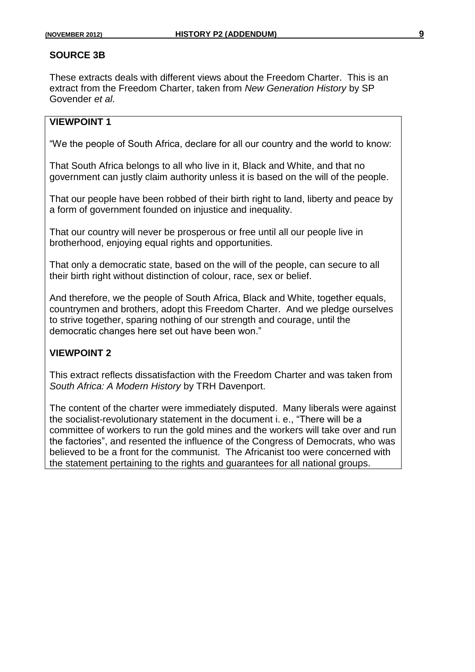#### **SOURCE 3B**

These extracts deals with different views about the Freedom Charter. This is an extract from the Freedom Charter, taken from *New Generation History* by SP Govender *et al*.

## **VIEWPOINT 1**

"We the people of South Africa, declare for all our country and the world to know:

That South Africa belongs to all who live in it, Black and White, and that no government can justly claim authority unless it is based on the will of the people.

That our people have been robbed of their birth right to land, liberty and peace by a form of government founded on injustice and inequality.

That our country will never be prosperous or free until all our people live in brotherhood, enjoying equal rights and opportunities.

That only a democratic state, based on the will of the people, can secure to all their birth right without distinction of colour, race, sex or belief.

And therefore, we the people of South Africa, Black and White, together equals, countrymen and brothers, adopt this Freedom Charter. And we pledge ourselves to strive together, sparing nothing of our strength and courage, until the democratic changes here set out have been won."

#### **VIEWPOINT 2**

This extract reflects dissatisfaction with the Freedom Charter and was taken from *South Africa: A Modern History* by TRH Davenport.

The content of the charter were immediately disputed. Many liberals were against the socialist-revolutionary statement in the document i. e., "There will be a committee of workers to run the gold mines and the workers will take over and run the factories", and resented the influence of the Congress of Democrats, who was believed to be a front for the communist. The Africanist too were concerned with the statement pertaining to the rights and guarantees for all national groups.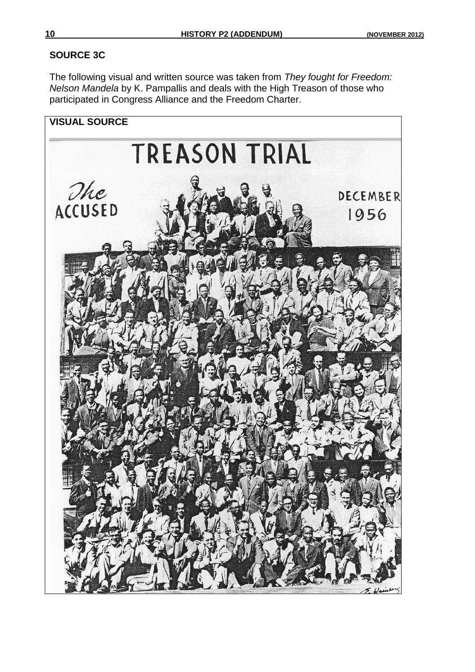## **SOURCE 3C**

The following visual and written source was taken from *They fought for Freedom: Nelson Mandela* by K. Pampallis and deals with the High Treason of those who participated in Congress Alliance and the Freedom Charter.

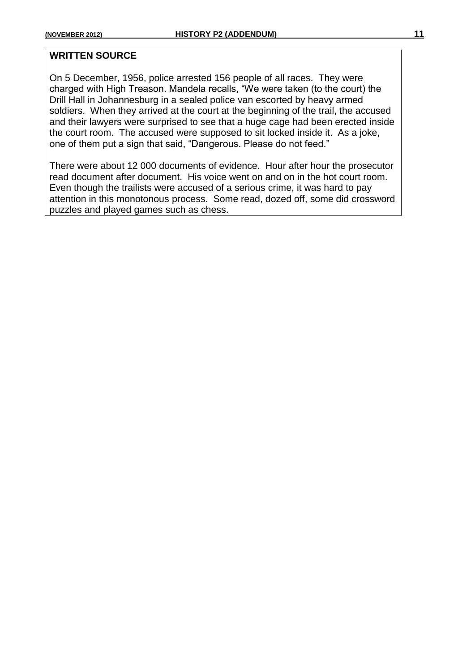#### **WRITTEN SOURCE**

On 5 December, 1956, police arrested 156 people of all races. They were charged with High Treason. Mandela recalls, "We were taken (to the court) the Drill Hall in Johannesburg in a sealed police van escorted by heavy armed soldiers. When they arrived at the court at the beginning of the trail, the accused and their lawyers were surprised to see that a huge cage had been erected inside the court room. The accused were supposed to sit locked inside it. As a joke, one of them put a sign that said, "Dangerous. Please do not feed."

There were about 12 000 documents of evidence. Hour after hour the prosecutor read document after document. His voice went on and on in the hot court room. Even though the trailists were accused of a serious crime, it was hard to pay attention in this monotonous process. Some read, dozed off, some did crossword puzzles and played games such as chess.